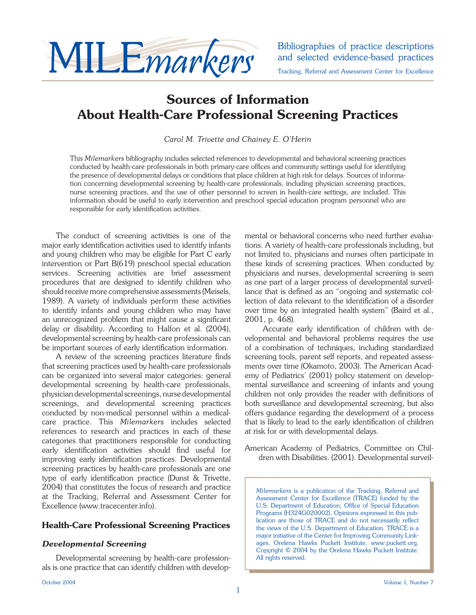

and selected evidence-based practices Tracking, Referral and Assessment Center for Excellence

# **Sources of Information About Health-Care Professional Screening Practices**

*Carol M. Trivette and Chainey E. O'Herin*

This *Milemarkers* bibliography includes selected references to developmental and behavioral screening practices conducted by health-care professionals in both primary-care offices and community settings useful for identifying the presence of developmental delays or conditions that place children at high risk for delays. Sources of information concerning developmental screening by health-care professionals, including physician screening practices, nurse screening practices, and the use of other personnel to screen in health-care settings, are included. This information should be useful to early intervention and preschool special education program personnel who are responsible for early identification activities.

 The conduct of screening activities is one of the major early identification activities used to identify infants and young children who may be eligible for Part C early intervention or Part B(619) preschool special education services. Screening activities are brief assessment procedures that are designed to identify children who should receive more comprehensive assessments (Meisels, 1989). A variety of individuals perform these activities to identify infants and young children who may have an unrecognized problem that might cause a significant delay or disability. According to Halfon et al. (2004), developmental screening by health-care professionals can be important sources of early identification information.

A review of the screening practices literature finds that screening practices used by health-care professionals can be organized into several major categories: general developmental screening by health-care professionals, physician developmental screenings, nurse developmental screenings, and developmental screening practices conducted by non-medical personnel within a medicalcare practice. This *Milemarkers* includes selected references to research and practices in each of these categories that practitioners responsible for conducting early identification activities should find useful for improving early identification practices. Developmental screening practices by health-care professionals are one type of early identification practice (Dunst & Trivette, 2004) that constitutes the focus of research and practice at the Tracking, Referral and Assessment Center for Excellence (www.tracecenter.info).

# **Health-Care Professional Screening Practices**

# *Developmental Screening*

Developmental screening by health-care professionals is one practice that can identify children with developmental or behavioral concerns who need further evaluations. A variety of health-care professionals including, but not limited to, physicians and nurses often participate in these kinds of screening practices. When conducted by physicians and nurses, developmental screening is seen as one part of a larger process of developmental surveillance that is defined as an "ongoing and systematic collection of data relevant to the identification of a disorder over time by an integrated health system" (Baird et al., 2001, p. 468).

Accurate early identification of children with developmental and behavioral problems requires the use of a combination of techniques, including standardized screening tools, parent self reports, and repeated assessments over time (Okamoto, 2003). The American Academy of Pediatrics' (2001) policy statement on developmental surveillance and screening of infants and young children not only provides the reader with definitions of both surveillance and developmental screening, but also offers guidance regarding the development of a process that is likely to lead to the early identification of children at risk for or with developmental delays.

American Academy of Pediatrics, Committee on Children with Disabilities. (2001). Developmental surveil-

*Milemarkers* is a publication of the Tracking, Referral and Assessment Center for Excellence (TRACE) funded by the U.S. Department of Education, Office of Special Education Programs (H324G020002). Opinions expressed in this publication are those of TRACE and do not necessarily reflect the views of the U.S. Department of Education. TRACE is a major initiative of the Center for Improving Community Linkages, Orelena Hawks Puckett Institute, www.puckett.org. Copyright © 2004 by the Orelena Hawks Puckett Institute. All rights reserved.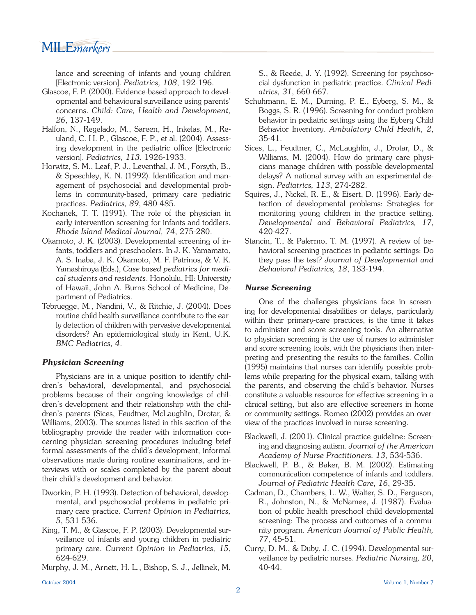MILE*markers* 

lance and screening of infants and young children [Electronic version]. *Pediatrics, 108*, 192-196.

- Glascoe, F. P. (2000). Evidence-based approach to developmental and behavioural surveillance using parents' concerns. *Child: Care, Health and Development, 26*, 137-149.
- Halfon, N., Regelado, M., Sareen, H., Inkelas, M., Reuland, C. H. P., Glascoe, F. P., et al. (2004). Assessing development in the pediatric office [Electronic version]. *Pediatrics, 113*, 1926-1933.
- Horwitz, S. M., Leaf, P. J., Leventhal, J. M., Forsyth, B., & Speechley, K. N. (1992). Identification and management of psychosocial and developmental problems in community-based, primary care pediatric practices. *Pediatrics, 89*, 480-485.
- Kochanek, T. T. (1991). The role of the physician in early intervention screening for infants and toddlers. *Rhode Island Medical Journal, 74*, 275-280.
- Okamoto, J. K. (2003). Developmental screening of infants, toddlers and preschoolers. In J. K. Yamamato, A. S. Inaba, J. K. Okamoto, M. F. Patrinos, & V. K. Yamashiroya (Eds.), *Case based pediatrics for medical students and residents*. Honolulu, HI: University of Hawaii, John A. Burns School of Medicine, Department of Pediatrics.
- Tebruegge, M., Nandini, V., & Ritchie, J. (2004). Does routine child health surveillance contribute to the early detection of children with pervasive developmental disorders? An epidemiological study in Kent, U.K. *BMC Pediatrics, 4*.

#### *Physician Screening*

Physicians are in a unique position to identify children's behavioral, developmental, and psychosocial problems because of their ongoing knowledge of children's development and their relationship with the children's parents (Sices, Feudtner, McLaughlin, Drotar, & Williams, 2003). The sources listed in this section of the bibliography provide the reader with information concerning physician screening procedures including brief formal assessments of the child's development, informal observations made during routine examinations, and interviews with or scales completed by the parent about their child's development and behavior.

- Dworkin, P. H. (1993). Detection of behavioral, developmental, and psychosocial problems in pediatric primary care practice. *Current Opinion in Pediatrics, 5*, 531-536.
- King, T. M., & Glascoe, F. P. (2003). Developmental surveillance of infants and young children in pediatric primary care. *Current Opinion in Pediatrics, 15*, 624-629.
- Murphy, J. M., Arnett, H. L., Bishop, S. J., Jellinek, M.

S., & Reede, J. Y. (1992). Screening for psychosocial dysfunction in pediatric practice. *Clinical Pediatrics, 31*, 660-667.

- Schuhmann, E. M., Durning, P. E., Eyberg, S. M., & Boggs, S. R. (1996). Screening for conduct problem behavior in pediatric settings using the Eyberg Child Behavior Inventory. *Ambulatory Child Health, 2*, 35-41.
- Sices, L., Feudtner, C., McLaughlin, J., Drotar, D., & Williams, M. (2004). How do primary care physicians manage children with possible developmental delays? A national survey with an experimental design. *Pediatrics, 113*, 274-282.
- Squires, J., Nickel, R. E., & Eisert, D. (1996). Early detection of developmental problems: Strategies for monitoring young children in the practice setting. *Developmental and Behavioral Pediatrics, 17*, 420-427.
- Stancin, T., & Palermo, T. M. (1997). A review of behavioral screening practices in pediatric settings: Do they pass the test? *Journal of Developmental and Behavioral Pediatrics, 18*, 183-194.

#### *Nurse Screening*

One of the challenges physicians face in screening for developmental disabilities or delays, particularly within their primary-care practices, is the time it takes to administer and score screening tools. An alternative to physician screening is the use of nurses to administer and score screening tools, with the physicians then interpreting and presenting the results to the families. Collin (1995) maintains that nurses can identify possible problems while preparing for the physical exam, talking with the parents, and observing the child's behavior. Nurses constitute a valuable resource for effective screening in a clinical setting, but also are effective screeners in home or community settings. Romeo (2002) provides an overview of the practices involved in nurse screening.

- Blackwell, J. (2001). Clinical practice guideline: Screening and diagnosing autism. *Journal of the American Academy of Nurse Practitioners, 13*, 534-536.
- Blackwell, P. B., & Baker, B. M. (2002). Estimating communication competence of infants and toddlers. *Journal of Pediatric Health Care, 16*, 29-35.
- Cadman, D., Chambers, L. W., Walter, S. D., Ferguson, R., Johnston, N., & McNamee, J. (1987). Evaluation of public health preschool child developmental screening: The process and outcomes of a community program. *American Journal of Public Health, 77*, 45-51.
- Curry, D. M., & Duby, J. C. (1994). Developmental surveillance by pediatric nurses. *Pediatric Nursing, 20*, 40-44.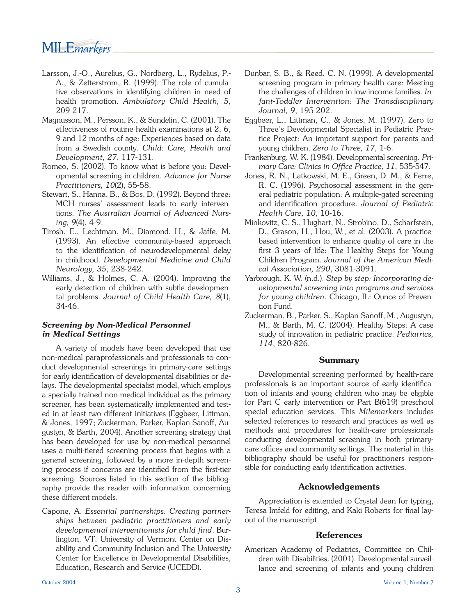- Larsson, J.-O., Aurelius, G., Nordberg, L., Rydelius, P.- A., & Zetterstrom, R. (1999). The role of cumulative observations in identifying children in need of health promotion. *Ambulatory Child Health, 5*, 209-217.
- Magnusson, M., Persson, K., & Sundelin, C. (2001). The effectiveness of routine health examinations at 2, 6, 9 and 12 months of age: Experiences based on data from a Swedish county. *Child: Care, Health and Development, 27*, 117-131.
- Romeo, S. (2002). To know what is before you: Developmental screening in children. *Advance for Nurse Practitioners, 10*(2), 55-58.
- Stewart, S., Hanna, B., & Bos, D. (1992). Beyond three: MCH nurses' assessment leads to early interventions. *The Australian Journal of Advanced Nursing, 9*(4), 4-9.
- Tirosh, E., Lechtman, M., Diamond, H., & Jaffe, M. (1993). An effective community-based approach to the identification of neurodevelopmental delay in childhood. *Developmental Medicine and Child Neurology, 35*, 238-242.
- Williams, J., & Holmes, C. A. (2004). Improving the early detection of children with subtle developmental problems. *Journal of Child Health Care, 8*(1), 34-46.

#### *Screening by Non-Medical Personnel in Medical Settings*

 A variety of models have been developed that use non-medical paraprofessionals and professionals to conduct developmental screenings in primary-care settings for early identification of developmental disabilities or delays. The developmental specialist model, which employs a specially trained non-medical individual as the primary screener, has been systematically implemented and tested in at least two different initiatives (Eggbeer, Littman, & Jones, 1997; Zuckerman, Parker, Kaplan-Sanoff, Augustyn, & Barth, 2004). Another screening strategy that has been developed for use by non-medical personnel uses a multi-tiered screening process that begins with a general screening, followed by a more in-depth screening process if concerns are identified from the first-tier screening. Sources listed in this section of the bibliography provide the reader with information concerning these different models.

Capone, A. *Essential partnerships: Creating partnerships between pediatric practitioners and early developmental interventionists for child find. Bur*lington, VT: University of Vermont Center on Disability and Community Inclusion and The University Center for Excellence in Developmental Disabilities, Education, Research and Service (UCEDD).

- Dunbar, S. B., & Reed, C. N. (1999). A developmental screening program in primary health care: Meeting the challenges of children in low-income families. *Infant-Toddler Intervention: The Transdisciplinary Journal, 9*, 195-202.
- Eggbeer, L., Littman, C., & Jones, M. (1997). Zero to Three's Developmental Specialist in Pediatric Practice Project: An important support for parents and young children. *Zero to Three, 17*, 1-6.
- Frankenburg, W. K. (1984). Developmental screening. *Pri*mary Care: Clinics in Office Practice, 11, 535-547.
- Jones, R. N., Latkowski, M. E., Green, D. M., & Ferre, R. C. (1996). Psychosocial assessment in the general pediatric population: A multiple-gated screening and identification procedure. Journal of Pediatric *Health Care, 10*, 10-16.
- Minkovitz, C. S., Hughart, N., Strobino, D., Scharfstein, D., Grason, H., Hou, W., et al. (2003). A practicebased intervention to enhance quality of care in the first 3 years of life: The Healthy Steps for Young Children Program. *Journal of the American Medical Association, 290*, 3081-3091.
- Yarbrough, K. W. (n.d.). *Step by step: Incorporating developmental screening into programs and services for young children*. Chicago, IL: Ounce of Prevention Fund.
- Zuckerman, B., Parker, S., Kaplan-Sanoff, M., Augustyn, M., & Barth, M. C. (2004). Healthy Steps: A case study of innovation in pediatric practice. *Pediatrics, 114*, 820-826.

# **Summary**

Developmental screening performed by health-care professionals is an important source of early identification of infants and young children who may be eligible for Part C early intervention or Part B(619) preschool special education services. This *Milemarkers* includes selected references to research and practices as well as methods and procedures for health-care professionals conducting developmental screening in both primarycare offices and community settings. The material in this bibliography should be useful for practitioners responsible for conducting early identification activities.

# **Acknowledgements**

Appreciation is extended to Crystal Jean for typing, Teresa Imfeld for editing, and Kaki Roberts for final layout of the manuscript.

# **References**

American Academy of Pediatrics, Committee on Children with Disabilities. (2001). Developmental surveillance and screening of infants and young children